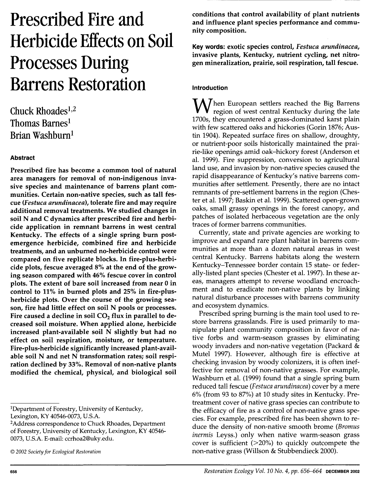# **Prescribed Fire and Herbicide Effects on Soil Processes During Barrens Restoration**

Chuck Rhoades<sup>1,2</sup> Thomas Barnes<sup>1</sup> Brian Washburnl

# Abstract

Prescribed fire has become a common tool of natural area managers for removal of non-indigenous invasive species and maintenance of barrens plant communities. Certain non-native species, such as tall fescue *(Festuca arundinacea),* tolerate fire and may require additional removal treatments. We studied changes in soil N and C dynamics after prescribed fire and herbicide application in remnant barrens in west central Kentucky. The effects of a single spring burn postemergence herbicide, combined fire and herbicide treatments, and an unburned no-herbicide control were compared on five replicate blocks. In fire-plus-herbicide plots, fescue averaged 8% at the end of the growing season compared with 46% fescue cover in control plots. The extent of bare soil increased from near 0 in control to 11 % in burned plots and 25% in fire-plusherbicide plots. Over the course of the growing season, fire had little effect on soil N pools or processes. Fire caused a decline in soil  $CO<sub>2</sub>$  flux in parallel to decreased soil moisture. When applied alone, herbicide increased plant-available soil N slightly but had no effect on soil respiration, moisture, or temperature. Fire-plus-herbicide significantly increased plant-available soil N and net N transformation rates; soil respiration declined by 33%. Removal of non-native plants modified the chemical, physical, and biological soil

1Department of Forestry, University of Kentucky,

Lexington, KY 40546-0073, U.S.A.<br><sup>2</sup>Address correspondence to Chuck Rhoades, Department of Forestry, University of Kentucky, Lexington, KY 40546- 0073, U.S.A. E-mail: ccrhoa2@uky.edu.

conditions that control availability of plant nutrients and influence plant species performance and community composition.

Key words: exotic species control, *Festuca arundinacea,*  invasive plants, Kentucky, nutrient cycling, net nitrogen mineralization, prairie, soil respiration, tall fescue.

# Introduction

 $W$ hen European settlers reached the Big Barrens region of west central Kentucky during the late 1700s, they encountered a grass-dominated karst plain with few scattered oaks and hickories (Gorin 1876; Austin 1904). Repeated surface fires on shallow, droughty, or nutrient-poor soils historically maintained the prairie-like openings amid oak-hickory forest (Anderson et al. 1999). Fire suppression, conversion to agricultural land use, and invasion by non-native species caused the rapid disappearance of Kentucky's native barrens communities after settlement. Presently, there are no intact remnants of pre-settlement barrens in the region (Chester et al. 1997; Baskin et al. 1999). Scattered open-grown oaks, small grassy openings in the forest canopy, and patches of isolated herbaceous vegetation are the only traces of former barrens communities.

Currently, state and private agencies are working to improve and expand rare plant habitat in barrens communities at more than a dozen natural areas in west central Kentucky. Barrens habitats along the western Kentucky-Tennessee border contain 15 state- or federally-listed plant species (Chester et al. 1997). In these areas, managers attempt to reverse woodland encroachment and to eradicate non-native plants by linking natural disturbance processes with barrens community and ecosystem dynamics.

Prescribed spring burning is the main tool used to restore barrens grasslands. Fire is used primarily to manipulate plant community composition in favor of native forbs and warm-season grasses by eliminating woody invaders and non-native vegetation (Packard & Mutel 1997). However, although fire is effective at checking invasion by woody colonizers, it is often ineffective for removal of non-native grasses. For example, Washburn et al. (1999) found that a single spring bum reduced tall fescue (Festuca arundinacea) cover by a mere 6% (from 93 to 87%) at 10 study sites in Kentucky. Pretreatment cover of native grass species can contribute to the efficacy of fire as a control of non-native grass species. For example, prescribed fire has been shown to reduce the density of non-native smooth brome (Bromus inermis Leyss.) only when native warm-season grass cover is sufficient  $(>=20\%)$  to quickly outcompete the non-native grass (Willson & Stubbendieck 2000).

<sup>©</sup> *2002 Society for Ecological Restoration*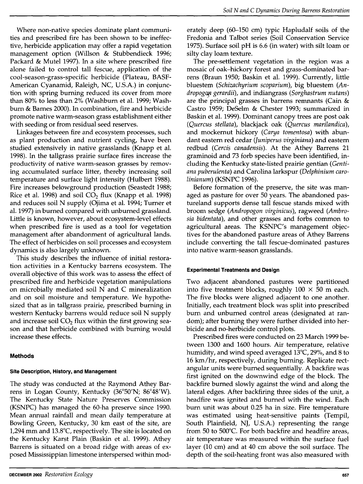Where non-native species dominate plant communities and prescribed fire has been shown to be ineffective, herbicide application may offer a rapid vegetation management option (Willson & Stubbendieck 1996; Packard & Mutel 1997). In a site where prescribed fire alone failed to control tall fescue, application of the cool-season-grass-specific herbicide (Plateau, BASF-American Cyanamid, Raleigh, NC, U.S.A.) in conjunction with spring burning reduced its cover from more than 80% to less than 2% (Washburn et al. 1999; Washburn & Barnes 2000). In combination, fire and herbicide promote native warm-season grass establishment either with seeding or from residual seed reserves.

Linkages between fire and ecosystem processes, such as plant production and nutrient cycling, have been studied extensively in native grasslands (Knapp et al. 1998). In the tallgrass prairie surface fires increase the productivity of native warm-season grasses by removing accumulated surface litter, thereby increasing soil temperature and surface light intensity (Hulbert 1988). Fire increases belowground production (Seastedt 1988; Rice et al. 1998) and soil  $CO<sub>2</sub>$  flux (Knapp et al. 1998) and reduces soil N supply (Ojima et al. 1994; Turner et al. 1997) in burned compared with unburned grassland. Little is known, however, about ecosystem-level effects when prescribed fire is used as a tool for vegetation management after abandonment of agricultural lands. The effect of herbicides on soil processes and ecosystem dynamics is also largely unknown.

This study describes the influence of initial restoration activities in a Kentucky barrens ecosystem. The overall objective of this work was to assess the effect of prescribed fire and herbicide vegetation manipulations on microbially mediated soil N and C mineralization and on soil moisture and temperature. We hypothesized that as in tallgrass prairie, prescribed burning in western Kentucky barrens would reduce soil N supply and increase soil  $CO<sub>2</sub>$  flux within the first growing season and that herbicide combined with burning would increase these effects.

# **Methods**

# **Site Description, History, and Management**

The study was conducted at the Raymond Athey Barrens in Logan County, Kentucky (36°50'N; 86°48'W). The Kentucky State Nature Preserves Commission (KSNPC) has managed the 60-ha preserve since 1990. Mean annual rainfall and mean daily temperature at Bowling Green, Kentucky, 30 km east of the site, are 1,294 mm and 13.8°C, respectively. The site is located on the Kentucky Karst Plain (Baskin et al. 1999). Athey Barrens is situated on a broad ridge with areas of exposed Mississippian limestone interspersed within moderately deep (60-150 cm) typic Hapludalf soils of the Fredonia and Talbot series (Soil Conservation Service 1975). Surface soil pH is 6.6 (in water) with silt loam or silty clay loam texture.

The pre-settlement vegetation in the region was a mosaic of oak-hickory forest and grass-dominated barrens (Braun 1950; Baskin et al. 1999). Currently, little bluestem *(Schizachyrium scoparium),* big bluestem *(Andropogap gerardii),* and indiangrass *(Sorghastrum nutans)*  are the principal grasses in barrens remnants (Cain & Castro 1959; DeSelm & Chester 1993; summarized in Baskin et al. 1999). Dominant canopy trees are post oak *(Quercus stellata),* blackjack oak *(Quercus marilandica),*  and mockernut hickory *(Carya tomentosa)* with abundant eastern red cedar *(Juniperus virginiana)* and eastern redbud *(Cercis canadensis).* At the Athey Barrens 21 graminoid and 73 forb species have been identified, including the Kentucky state-listed prairie gentian *(Gentiana puberulenta)* and Carolina larkspur *(Delphinium carolinianum)* (KSNPC 1996).

Before formation of the preserve, the site was managed as pasture for over 50 years. The abandoned pastureland supports dense tall fescue stands mixed with broom sedge *(Andropogon virginicus),* ragweed *(Ambrosia bidentata),* and other grasses and forbs common to agricultural areas. The KSNPC's management objectives for the abandoned pasture areas of Athey Barrens include converting the tall fescue-dominated pastures into native warm-season grasslands.

# **Experimental Treatments and Design**

Two adjacent abandoned pastures were partitioned into five treatment blocks, roughly  $100 \times 50$  m each. The five blocks were aligned adjacent to one another. Initially, each treatment block was split into prescribed burn and unburned control areas (designated at random); after burning they were further divided into herbicide and no-herbicide control plots.

Prescribed fires were conducted on 23 March 1999 between 1300 and 1600 hours. Air temperature, relative humidity, and wind speed averaged 13°C, 29%, and 8 to 16 km/hr, respectively, during burning. Replicate rectangular units were burned sequentially. A backfire was first ignited on the downwind edge of the block. The backfire burned slowly against the wind and along the lateral edges. After backfiring three sides of the unit, a headfire was ignited and burned with the wind. Each burn unit was about 0.25 ha in size. Fire temperature was estimated using heat-sensitive paints (Tempil, South Plainfield, NJ, U.S.A.) representing the range from 50 to 500°C. For both backfire and headfire areas, air temperature was measured within the surface fuel layer (10 cm) and at 40 cm above the soil surface. The depth of the soil-heating front was also measured with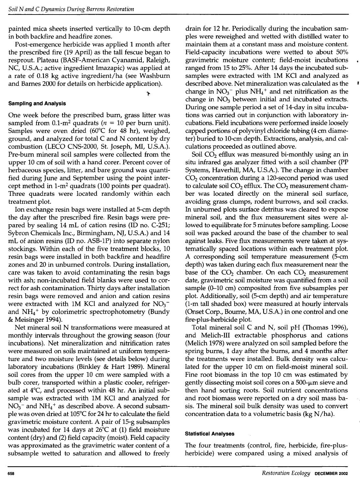painted mica sheets inserted vertically to 10-cm depth in both backfire and headfire zones.

Post-emergence herbicide was applied 1 month after the prescribed fire (19 April) as the tall fescue began to resprout. Plateau (BASF-American Cyanamid, Raleigh, NC, U.S.A.; active ingredient lmazapic) was applied at a rate of 0.18 kg active ingredient/ha (see Washburn and Barnes 2000 for details on herbicide application).

l'

## **Sampling and Analysis**

One week before the prescribed burn, grass litter was sampled from 0.1-m<sup>2</sup> quadrats ( $n = 10$  per burn unit). Samples were oven dried (60°C for 48 hr), weighed, ground, and analyzed for total C and N content by dry combustion (LECO CNS-2000, St. Joseph, Ml, U.S.A.). Pre-burn mineral soil samples were collected from the upper 10 cm of soil with a hand corer. Percent cover of herbaceous species, litter, and bare ground was quantified during June and September using the point intercept method in 1-m2 quadrats (100 points per quadrat). Three quadrats were located randomly within each treatment plot.

Ion exchange resin bags were installed at 5-cm depth the day after the prescribed fire. Resin bags were prepared by sealing 14 mL of cation resins (ID no. C-251; Sybron Chemicals Inc., Birmingham, NJ, U.S.A.) and 14 mL of anion resins (ID no. ASB-lP) into separate nylon stockings. Within each of the five treatment blocks, 10 resin bags were installed in both backfire and headfire zones and 20 in unburned controls. During installation, care was taken to avoid contaminating the resin bags with ash; non-incubated field blanks were used to correct for ash contamination. Thirty days after installation resin bags were removed and anion and cation resins were extracted with 1M KCl and analyzed for  $NO<sub>3</sub>$ <sup>-</sup> and  $NH<sub>4</sub>$ <sup>+</sup> by colorimetric spectrophotometry (Bundy & Meisinger 1994).

Net mineral soil N transformations were measured at monthly intervals throughout the growing season (four incubations). Net mineralization and nitrification rates were measured on soils maintained at uniform temperature and two moisture levels (see details below) during laboratory incubations (Binkley & Hart 1989). Mineral soil cores from the upper 10 cm were sampled with a bulb corer, transported within a plastic cooler, refrigerated at 4°C, and processed within 48 hr. An initial subsample was extracted with lM KCl and analyzed for  $NO<sub>3</sub>$ <sup>-</sup> and  $NH<sub>4</sub>$ <sup>+</sup> as described above. A second subsample was oven dried at 105°C for 24 hr to calculate the field gravimetric moisture content. A pair of 15-g subsamples was incubated for 14 days at 26°C at (1) field moisture content (dry) and (2) field capacity (moist). Field capacity was approximated as the gravimetric water content of a subsample wetted to saturation and allowed to freely

drain for 12 hr. Periodically during the incubation samples were reweighed and wetted with distilled water to maintain them at a constant mass and moisture content. Field-capacity incubations were wetted to about 50% gravimetric moisture content; field-moist incubations ranged from 15 to 25%. After 14 days the incubated subsamples were extracted with lM KCl and analyzed as described above. Net mineralization was calculated as the change in  $NO<sub>3</sub><sup>-</sup>$  plus  $NH<sub>4</sub><sup>+</sup>$  and net nitrification as the change in  $NO<sub>3</sub>$  between initial and incubated extracts. During one sample period a set of 14-day in situ incubations was carried out in conjunction with laboratory incubations. Field incubations were performed inside loosely capped portions of polyvinyl chloride tubing (4 cm diameter) buried to 10-cm depth. Extractions, analysis, and calculations proceeded as outlined above.

Soil  $CO<sub>2</sub>$  efflux was measured bi-monthly using an in situ infrared gas analyzer fitted with a soil chamber (PP Systems, Haverhill, MA, U.S.A.). The change in chamber  $CO<sub>2</sub>$  concentration during a 120-second period was used to calculate soil  $CO<sub>2</sub>$  efflux. The  $CO<sub>2</sub>$  measurement chamber was located directly on the mineral soil surface, avoiding grass clumps, rodent burrows, and soil cracks. In unburned plots surface detritus was cleared to expose mineral soil, and the flux measurement sites were allowed to equilibrate for 5 minutes before sampling. Loose soil was packed around the base of the chamber to seal against leaks. Five flux measurements were taken at systematically spaced locations within each treatment plot. A corresponding soil temperature measurement (5-cm depth) was taken during each flux measurement near the base of the  $CO<sub>2</sub>$  chamber. On each  $CO<sub>2</sub>$  measurement date, gravimetric soil moisture was quantified from a soil sample (0-10 cm) composited from five subsamples per plot. Additionally, soil (5-cm depth) and air temperature (1-m tall shaded box) were measured at hourly intervals (Onset Corp., Bourne, MA, U.S.A.) in one control and one fire-plus-herbicide plot.

Total mineral soil C and N, soil pH (Thomas 1996), and Melich-III extractable phosphorus and cations (Melich 1978) were analyzed on soil sampled before the spring bums, **1** day after the bums, and 4 months after the treatments were installed. Bulk density was calculated for the upper 10 cm on field-moist mineral soil. Fine root biomass in the top 10 cm was estimated by gently dissecting moist soil cores on a 500-µm sieve and then hand sorting roots. Soil nutrient concentrations and root biomass were reported on a dry soil mass basis. The mineral soil bulk density was used to convert concentration data to a volumetric basis (kg  $N/ha$ ).

#### **Statistical Analyses**

The four treatments (control, fire, herbicide, fire-plusherbicide) were compared using a mixed analysis of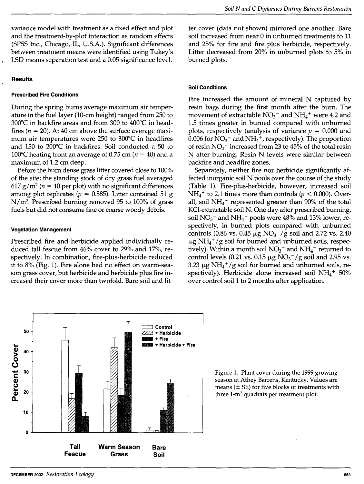variance model with treatment as a fixed effect and plot and the treatment-by-plot interaction as random effects (SPSS Inc., Chicago, IL, U.S.A.). Significant differences between treatment means were identified using Tukey's LSD means separation test and a 0.05 significance level.

#### **Results**

#### **Prescribed Fire Conditions**

During the spring bums average maximum air temperature in the fuel layer (10-cm height) ranged from 250 to 300°C in backfire areas and from 300 to 400°C in headfires ( $n = 20$ ). At 40 cm above the surface average maximum air temperatures were 250 to 300°C in headfires and 150 to 200°C in backfires. Soil conducted a 50 to 100°C heating front an average of 0.75 cm ( $n = 40$ ) and a maximum of 1.2 cm deep.

Before the bum dense grass litter covered close to 100% of the site; the standing stock of dry grass fuel averaged  $617$  g/m<sup>2</sup> (*n* = 10 per plot) with no significant differences among plot replicates  $(p = 0.585)$ . Litter contained 51 g  $N/m<sup>2</sup>$ . Prescribed burning removed 95 to 100% of grass fuels but did not consume fine or coarse woody debris.

#### **Vegetation Management**

Prescribed fire and herbicide applied individually reduced tall fescue from 46% cover to 29% and 17%, respectively. In combination, fire-plus-herbicide reduced it to 8% (Fig. 1). Fire alone had no effect on warm-season grass cover, but herbicide and herbicide plus fire increased their cover more than twofold. Bare soil and litter cover (data not shown) mirrored one another. Bare soil increased from near 0 in unburned treatments to 11 and 25% for fire and fire plus herbicide, respectively. Litter decreased from 20% in unburned plots to 5% in burned plots.

#### **Soil Conditions**

Fire increased the amount of mineral N captured by resin bags during the first month after the burn. The movement of extractable  $NO<sub>3</sub><sup>-</sup>$  and  $NH<sub>4</sub><sup>+</sup>$  were 4.2 and 1.5 times greater in burned compared with unburned plots, respectively (analysis of variance *p* = 0.000 and 0.006 for  $NO<sub>3</sub><sup>-</sup>$  and  $NH<sub>4</sub><sup>+</sup>$ , respectively). The proportion of resin  $NO_3^-$  increased from 23 to 45% of the total resin N after burning. Resin N levels were similar between backfire and headfire zones.

Separately, neither fire nor herbicide significantly affected inorganic soil N pools over the course of the study (Table 1). Fire-plus-herbicide, however, increased soil  $NH<sub>4</sub>$ <sup>+</sup> to 2.1 times more than controls ( $p < 0.000$ ). Overall, soil  $NH_4$ <sup>+</sup> represented greater than 90% of the total KCI-extractable soil N. One day after prescribed burning, soil  $NO<sub>3</sub><sup>-</sup>$  and  $NH<sub>4</sub><sup>+</sup>$  pools were 48% and 13% lower, respectively, in burned plots compared with unburned controls (0.86 vs. 0.45  $\mu$ g NO<sub>3</sub> / g soil and 2.72 vs. 2.40  $\mu$ g NH<sub>4</sub><sup>+</sup>/g soil for burned and unburned soils, respectively). Within a month soil  $NO<sub>3</sub><sup>-</sup>$  and  $NH<sub>4</sub><sup>+</sup>$  returned to control levels (0.21 vs. 0.15  $\mu$ g NO<sub>3</sub><sup>-</sup>/g soil and 2.95 vs. 3.23  $\mu$ g NH<sub>4</sub><sup>+</sup>/g soil for burned and unburned soils, respectively). Herbicide alone increased soil  $NH_4$ <sup>+</sup> 50% over control soil 1 to 2 months after application.



Figure 1. Plant cover during the 1999 growing season at Athey Barrens, Kentucky. Values are means ( $\pm$  SE) for five blocks of treatments with three 1-m2 quadrats per treatment plot.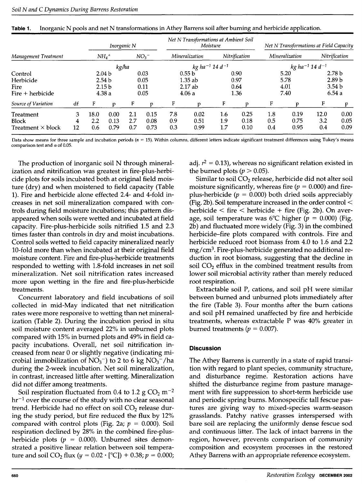|                                                    | Inorganic N  |                    |                                                           |                   | Net N Transformations at Ambient Soil<br>Moisture |                   |                                        | Net N Transformations at Field Capacity |                              |                   |                              |                    |                                                                      |
|----------------------------------------------------|--------------|--------------------|-----------------------------------------------------------|-------------------|---------------------------------------------------|-------------------|----------------------------------------|-----------------------------------------|------------------------------|-------------------|------------------------------|--------------------|----------------------------------------------------------------------|
| Management Treatment                               |              |                    | $NH_4$ <sup>+</sup>                                       |                   | NO <sub>3</sub>                                   |                   | Mineralization                         |                                         | Nitrification                |                   | Mineralization               |                    | Nitrification                                                        |
|                                                    |              | kg/ha              |                                                           |                   | $kg$ ha <sup>-1</sup> 14 d <sup>-1</sup>          |                   |                                        | $kg$ ha $^{-1}$ 14 d $^{-1}$            |                              |                   |                              |                    |                                                                      |
| Control<br>Herbicide<br>Fire<br>$Fire + herbicide$ |              |                    | 2.04 b<br>2.54 <sub>b</sub><br>2.15 <sub>b</sub><br>4.38a |                   | 0.03<br>0.05<br>0.11<br>0.05                      |                   | 0.55 b<br>$1.35$ ab<br>2.17ab<br>4.06a |                                         | 0.90<br>0.97<br>0.64<br>1.36 |                   | 5.20<br>5.78<br>4.01<br>7.40 |                    | 2.78 <sub>b</sub><br>2.89 <sub>b</sub><br>3.54 <sub>b</sub><br>6.54a |
| Source of Variation                                | df           | F                  | D                                                         | F                 | r                                                 | F                 | n                                      | F                                       | n                            | F                 | p                            | F                  | D                                                                    |
| Treatment<br>Block<br>Treatment $\times$ block     | 3<br>4<br>12 | 18.0<br>2.2<br>0.6 | 0.00<br>0.13<br>0.79                                      | 2.1<br>2.7<br>0.7 | 0.15<br>0.08<br>0.73                              | 7.8<br>0.9<br>0.3 | 0.02<br>0.51<br>0.99                   | 1.6<br>1.9<br>$1.7\,$                   | 0.25<br>0.18<br>0.10         | 1.8<br>0.5<br>0.4 | 0.19<br>0.75<br>0.95         | 12.0<br>3.2<br>0.4 | 0.00<br>0.05<br>0.09                                                 |

|  | Table 1. Inorganic N pools and net N transformations in Athey Barrens soil after burning and herbicide application. |  |  |
|--|---------------------------------------------------------------------------------------------------------------------|--|--|
|  |                                                                                                                     |  |  |

Data show means for three sample and incubation periods  $(n = 15)$ . Within columns, different letters indicate significant treatment differences using Tukey's means comparison test and  $\alpha$  of 0.05.

The production of inorganic soil N through mineralization and nitrification was greatest in fire-plus-herbicide plots for soils incubated both at original field moisture (dry) and when moistened to field capacity (Table 1). Fire and herbicide alone effected 2.4- and 4-fold increases in net soil mineralization compared with controls during field moisture incubations; this pattern disappeared when soils were wetted and incubated at field capacity. Fire-plus-herbicide soils nitrified 1.5 and 2.3 times faster than controls in dry and moist incubations. Control soils wetted to field capacity mineralized nearly 10-fold more than when incubated at their original field moisture content. Fire and fire-plus-herbicide treatments responded to wetting with 1.8-fold increases in net soil mineralization. Net soil nitrification rates increased more upon wetting in the fire and fire-plus-herbicide treatments.

Concurrent laboratory and field incubations of soil collected in mid-May indicated that net nitrification rates were more responsive to wetting than net mineralization (Table 2). During the incubation period in situ soil moisture content averaged 22% in unburned plots compared with 15% in burned plots and 49% in field capacity incubations. Overall, net soil nitrification increased from near 0 or slightly negative (indicating microbial immobilization of  $NO<sub>3</sub><sup>-</sup>$ ) to 2 to 6 kg  $NO<sub>3</sub><sup>-</sup>/ha$ during the 2-week incubation. Net soil mineralization, in contrast, increased little after wetting. Mineralization did not differ among treatments.

Soil respiration fluctuated from 0.4 to 1.2  $g \text{CO}_2$  m<sup>-2</sup>  $hr^{-1}$  over the course of the study with no clear seasonal trend. Herbicide had no effect on soil  $CO<sub>2</sub>$  release during the study period, but fire reduced the flux by 12% compared with control plots (Fig. 2a;  $p = 0.000$ ). Soil respiration declined by 28% in the combined fire-plusherbicide plots ( $p = 0.000$ ). Unburned sites demonstrated a positive linear relation between soil temperature and soil  $CO_2$  flux ( $y = 0.02 \cdot [^{\circ}C]) + 0.38$ ;  $p = 0.000$ ; adj.  $r^2 = 0.13$ ), whereas no significant relation existed in the burned plots ( $p > 0.05$ ).

Similar to soil  $CO<sub>2</sub>$  release, herbicide did not alter soil moisture significantly, whereas fire ( $p = 0.000$ ) and fireplus-herbicide ( $p = 0.000$ ) both dried soils appreciably (Fig. 2b). Soil temperature increased in the order control  $\leq$ herbicide  $\le$  fire  $\le$  herbicide  $+$  fire (Fig. 2b). On average, soil temperature was 6°C higher ( $p = 0.000$ ) (Fig. 2b) and fluctuated more widely (Fig. 3) in the combined herbicide-fire plots compared with controls. Fire and herbicide reduced root biomass from 4.0 to 1.6 and 2.2  $mg/cm<sup>3</sup>$ . Fire-plus-herbicide generated no additional reduction in root biomass, suggesting that the decline in soil CO<sub>2</sub> efflux in the combined treatment results from lower soil microbial activity rather than merely reduced root respiration.

Extractable soil P, cations, and soil pH were similar between burned and unburned plots immediately after the fire (Table 3). Four months after the burn cations and soil pH remained unaffected by fire and herbicide treatments, whereas extractable P was 40% greater in burned treatments ( $p = 0.007$ ).

# **Discussion**

The Athey Barrens is currently in a state of rapid transition with regard to plant species, community structure, and disturbance regime. Restoration actions have shifted the disturbance regime from pasture management with fire suppression to short-term herbicide use and periodic spring burns. Monospecific tall fescue pastures are giving way to mixed-species warm-season grasslands. Patchy native grasses interspersed with bare soil are replacing the uniformly dense fescue sod and continuous litter. The lack of intact barrens in the region, however, prevents comparison of community composition and ecosystem processes in the restored Athey Barrens with an appropriate reference ecosystem.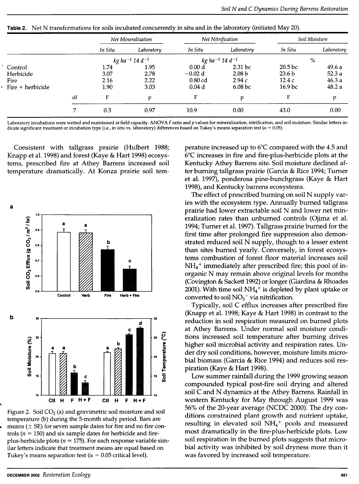|                          |    | Net Mineralization                       |            | Net Nitrification                        |                    | Soil Moisture      |            |  |
|--------------------------|----|------------------------------------------|------------|------------------------------------------|--------------------|--------------------|------------|--|
|                          |    | In Situ                                  | Laboratory | In Situ                                  | Laboratory         | In Situ            | Laboratory |  |
|                          |    | $kg$ ha <sup>-1</sup> 14 d <sup>-1</sup> |            | $kg$ ha <sup>-1</sup> 14 d <sup>-1</sup> |                    | $\%$               |            |  |
| Control                  |    | 1.74                                     | 1.95       | 0.00 <sub>d</sub>                        | 2.31 <sub>bc</sub> | 20.5 <sub>bc</sub> | 49.6a      |  |
| Herbicide                |    | 3.07                                     | 2.78       | $-0.02 d$                                | 2.08 <sub>b</sub>  | 23.6 <sub>b</sub>  | 52.3a      |  |
| Fire                     |    | 2.16                                     | 2.22       | $0.80$ cd                                | 2.94c              | 12.4c              | 46.3a      |  |
| $\cdot$ Fire + herbicide |    | 1.90                                     | 3.03       | 0.04 <sub>d</sub>                        | 6.08 <sub>b</sub>  | 16.9 bc            | 48.2 a     |  |
|                          | df | F                                        | p          | F                                        | p                  | F                  | p          |  |
|                          | 7  | 0.3                                      | 0.97       | 10.9                                     | 0.00               | 43.0               | 0.00       |  |
|                          |    |                                          |            |                                          |                    |                    |            |  |

Table 2. Net N transformations for soils incubated concurrently in situ and in the laboratory (initiated May 20).

Laboratory incubations were wetted and maintained at field capacity. ANOVA *F* ratio and *p* values for mineralization, nitrification, and soil moisture. Similar letters indicate significant treatment or incubation type (i.e., in situ vs. laboratory) differences based on Tukey's means separation test *(a=* 0.05).

Consistent with tallgrass prairie (Hulbert 1988; Knapp et al. 1998) and forest (Kaye & Hart 1998) ecosystems, prescribed fire at Athey Barrens increased soil temperature dramatically. At Konza prairie soil tem-



Figure 2. Soil  $CO<sub>2</sub>$  (a) and gravimetric soil moisture and soil temperature (b) during the 5-month study period. Bars are means ( $\pm$  SE) for seven sample dates for fire and no fire controls ( $n = 150$ ) and six sample dates for herbicide and fireplus-herbicide plots ( $n = 175$ ). For each response variable similar letters indicate that treatment means are equal based on Tukey's means separation test ( $\alpha = 0.05$  critical level).

perature increased up to 6°C compared with the 4.5 and 6°C increases in fire and fire-plus-herbicide plots at the Kentucky Athey Barrens site. Soil moisture declined after burning tallgrass prairie (Garcia & Rice 1994; Turner et al. 1997), ponderosa pine-bunchgrass (Kaye & Hart 1998), and Kentucky barrens ecosystems.

The effect of prescribed burning on soil N supply varies with the ecosystem type. Annually burned tallgrass prairie had lower extractable soil N and lower net mineralization rates than unburned controls (Ojima et al. 1994; Turner et al. 1997). Tallgrass prairie burned for the first time after prolonged fire suppression also demonstrated reduced soil N supply, though to a lesser extent than sites burned yearly. Conversely, in forest ecosystems combustion of forest floor material increases soil  $NH<sub>4</sub>$ <sup>+</sup> immediately after prescribed fire; this pool of inorganic N may remain above original levels for months (Covington & Sackett 1992) or longer (Giardina & Rhoades 2001). With time soil  $NH_4$ <sup>+</sup> is depleted by plant uptake or converted to soil  $NO<sub>3</sub><sup>-</sup>$  via nitrification.

Typically, soil C efflux increases after prescribed fire (Knapp et al. 1998; Kaye & Hart 1998) in contrast to the reduction in soil respiration measured on burned plots at Athey Barrens. Under normal soil moisture conditions increased soil temperature after burning drives higher soil microbial activity and respiration rates. Under dry soil conditions, however, moisture limits microbial biomass (Garcia & Rice 1994) and reduces soil respiration (Kaye & Hart 1998).

Low summer rainfall during the 1999 growing season compounded typical post-fire soil drying and altered soil C and N dynamics at the Athey Barrens. Rainfall in western Kentucky for May through August 1999 was 56% of the 20-year average (NCDC 2000). The dry conditions constrained plant growth and nutrient uptake, resulting in elevated soil  $NH<sub>4</sub>$ <sup>+</sup> pools and measured most dramatically in the fire-plus-herbicide plots. Low soil respiration in the burned plots suggests that microbial activity was inhibited by soil dryness more than it was favored by increased soil temperature.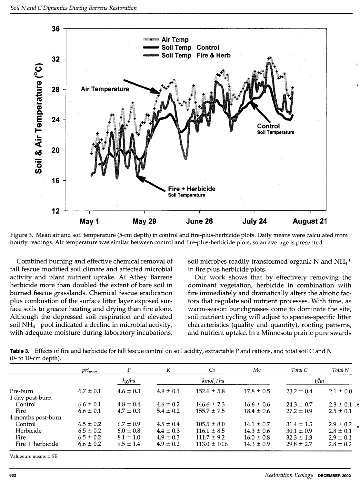

Figure 3. Mean air and soil temperature (5-cm depth) in control and fire-plus-herbicide plots. Daily means were calculated from hourly readings. Air temperature was similar between control and fire-plus-herbicide plots, so an average is presented.

Combined burning and effective chemical removal of tall fescue modified soil climate and affected microbial activity and plant nutrient uptake. At Athey Barrens herbicide more than doubled the extent of bare soil in burned fescue grasslands. Chemical fescue eradication plus combustion of the surface litter layer exposed surface soils to greater heating and drying than fire alone. Although the depressed soil respiration and elevated soil  $NH_4$ <sup>+</sup> pool indicated a decline in microbial activity, with adequate moisture during laboratory incubations,

soil microbes readily transformed organic N and  $NH_4$ <sup>+</sup> in fire plus herbicide plots.

Our work shows that by effectively removing the dominant vegetation, herbicide in combination with fire immediately and dramatically alters the abiotic factors that regulate soil nutrient processes. With time, as warm-season bunchgrasses come to dominate the site, soil nutrient cycling will adjust to species-specific litter characteristics (quality and quantity), rooting patterns, and nutrient uptake. In a Minnesota prairie pure swards

**Table 3.** Effects of fire and herbicide for tall fescue control on soil acidity, extractable P and cations, and total soil C and N (0- to 10-cm depth).

|                    | $pH_{water}$  | P             | K             | Ca               | Мg             | Total C        | Total N       |
|--------------------|---------------|---------------|---------------|------------------|----------------|----------------|---------------|
|                    | kg/ha         |               | $kmol_c/ha$   |                  |                | t/ha           |               |
| Pre-burn           | $6.7 \pm 0.1$ | $4.6 \pm 0.3$ | $4.9 \pm 0.1$ | $152.6 \pm 5.8$  | $17.8 \pm 0.5$ | $23.2 \pm 0.4$ | $2.1 \pm 0.0$ |
| 1 day post-burn    |               |               |               |                  |                |                |               |
| Control            | $6.6 \pm 0.1$ | $4.8 \pm 0.4$ | $4.6 \pm 0.2$ | $146.6 \pm 7.3$  | $16.6 \pm 0.6$ | $24.3 \pm 0.7$ | $2.3 \pm 0.1$ |
| Fire               | $6.6 \pm 0.1$ | $4.7 \pm 0.3$ | $5.4 \pm 0.2$ | $155.7 \pm 7.5$  | $18.4 \pm 0.6$ | $27.2 \pm 0.9$ | $2.5 \pm 0.1$ |
| 4 months post-burn |               |               |               |                  |                |                |               |
| Control            | $6.5 \pm 0.2$ | $6.7 \pm 0.9$ | $4.5 \pm 0.4$ | $105.5 \pm 8.0$  | $14.1 \pm 0.7$ | $31.4 \pm 1.5$ | $2.9 \pm 0.2$ |
| Herbicide          | $6.5 \pm 0.2$ | $6.0 \pm 0.8$ | $4.4 \pm 0.3$ | $116.1 \pm 8.5$  | $14.3 \pm 0.6$ | $30.1 \pm 0.9$ | $2.8 \pm 0.1$ |
| Fire               | $6.5 \pm 0.2$ | $8.1 \pm 1.0$ | $4.9 \pm 0.3$ | $111.7 \pm 9.2$  | $16.0 \pm 0.8$ | $32.3 \pm 1.3$ | $2.9 \pm 0.1$ |
| Fire $+$ herbicide | $6.6 \pm 0.2$ | $9.5 \pm 1.4$ | $4.9 \pm 0.2$ | $113.0 \pm 10.6$ | $14.3 \pm 0.9$ | $29.8 \pm 2.7$ | $2.8 \pm 0.2$ |

Values are means  $\pm$  SE.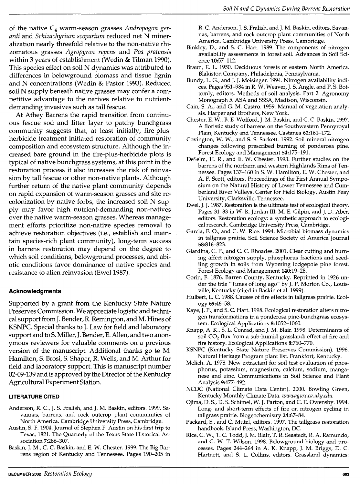of the native C4 warm-season grasses *Andropogon gerardi* and *Schizachyrium scoparium* reduced net N mineralization nearly threefold relative to the non-native rhizomatous grasses *Agropyron repens* and *Paa pratensis*  within 3 years of establishment (Wedin & Tilman 1990). This species effect on soil N dynamics was attributed to differences in belowground biomass and tissue lignin and N concentrations (Wedin & Pastor 1993). Reduced soil N supply beneath native grasses may confer a competitive advantage to the natives relative to nutrientdemanding invasives such as tall fescue.

At Athey Barrens the rapid transition from continuous fescue sod and litter layer to patchy bunchgrass community suggests that, at least initially, fire-plusherbicide treatment initiated restoration of community composition and ecosystem structure. Although the increased bare ground in the fire-plus-herbicide plots is typical of native bunchgrass systems, at this point in the restoration process it also increases the risk of reinvasion by tall fescue or other non-native plants. Although further return of the native plant community depends on rapid expansion of warm-season grasses and site recolonization by native forbs, the increased soil N supply may favor high nutrient-demanding non-natives over the native warm-season grasses. Whereas management efforts prioritize non-native species removal to achieve restoration objectives (i.e., establish and maintain species-rich plant community), long-term success in barrens restoration may depend on the degree to which soil conditions, belowground processes, and abiotic conditions favor dominance of native species and resistance to alien reinvasion (Ewel 1987).

# **Acknowledgments**

Supported by a grant from the Kentucky State Nature Preserves Commission. We appreciate logistic and technical support from J. Bender, R. Remington, and M. Hines of KSNPC. Special thanks to J. Law for field and laboratory support and to S. Miller, J. Bender, E. Allen, and two anonymous reviewers for valuable comments on a previous version of the manuscript. Additional thanks go to M. Hamilton, S. Brosi, S. Shaper, R. Wells, and M. Arthur for field and laboratory support. This is manuscript number 02-09-139 and is approved by the Director of the Kentucky Agricultural Experiment Station.

# **LITERATURE CITED**

- Anderson, R. C., J. S. Fralish, and J. M. Baskin, editors. 1999. Savannas, barrens, and rock outcrop plant communities of North America. Cambridge University Press, Cambridge.
- Austin, S. F. 1904. Journal of Stephen F. Austin on his first trip to Texas, 1821. The Quarterly of the Texas State Historical Association 7:286-307.
- Baskin, J. M., C. C. Baskin, and E. W. Chester. 1999. The Big Barrens region of Kentucky and Tennessee. Pages 190-205 in

R. C. Anderson, J. S. Fralish, and J.M. Baskin, editors. Savannas, barrens, and rock outcrop plant communities of North America. Cambridge University Press, Cambridge.

- Binkley, D., and S. C. Hart. 1989. The components of nitrogen availability assessments in forest soil. Advances in Soil Science 10:57-112.
- Braun, E. L. 1950. Deciduous forests of eastern North America. Blakiston Company, Philadelphia, Pennsylvania.
- Bundy, L. G., and J. J. Meisinger. 1994. Nitrogen availability indices. Pages 951-984 in R. W. Weaver, J. S. Angle, and P. S. Bottomly, editors. Methods of soil analysis. Part 2. Agronomy Monograph 5. ASA and SSSA, Madison, Wisconsin.
- Cain, S. A., and G. M. Castro. 1959. Manual of vegetation analysis. Harper and Brothers, New York.
- Chester, E.W., B. E. Wofford, J.M. Baskin, and C. C. Baskin. 1997. A floristic study of barrens on the Southwestern Pennyroyal Plain, Kentucky and Tennessee. Castanea 62:161-172.
- Covington, W. W., and S. S. Sackett. 1992. Soil mineral nitrogen changes following prescribed burning of ponderosa pine. Forest Ecology and Management 54:175-191.
- DeSelm, H. R., and E. W. Chester. 1993. Further studies on the barrens of the northern and western Highlands Rims of Tennessee. Pages 137-160 in S. W. Hamilton, E.W. Chester, and A. F. Scott, editors. Proceedings of the First Annual Symposium on the Natural History of Lower Tennessee and Cumberland River Valleys. Center for Field Biology, Austin Peay University, Clarksville, Tennessee.
- Ewel, J. J. 1987. Restoration is the ultimate test of ecological theory. Pages 31-33 in W.R. Jordan III, M. E. Gilpin, and J. D. Aber, editors. Restoration ecology: a synthetic approach to ecological research. Cambridge University Press, Cambridge.
- Garcia, F. 0., and C. W. Rice. 1994. Microbial biomass dynamics in tallgrass prairie. Soil Science Society of America Journal 58:816-823.
- Giardina, C. P., and C. C. Rhoades. 2001. Clear cutting and burning affect nitrogen supply, phosphorus fractions and seedling growth in soils from Wyoming lodgepole pine forest. Forest Ecology and Management 140:19-28.
- Gorin, F. 1876. Barren County, Kentucky. Reprinted in 1926 under the title "Times of long ago" by J. P. Morton Co., Louisville, Kentucky (cited in Baskin et al. 1999).
- Hulbert, L. C. 1988. Causes of fire effects in tallgrass prairie. Ecology 69:46-58.
- Kaye, J.P., and S. C. Hart. 1998. Ecological restoration alters nitrogen transformations in a ponderosa pine-bunchgrass ecosystem. Ecological Applications 8:1052-1060.
- Knapp, A. K., S. L. Conrad, and J.M. Blair. 1998. Determinants of soil  $CO<sub>2</sub>$  flux from a sub-humid grassland: effect of fire and fire history. Ecological Applications 8:760-770.
- KSNPC (Kentucky State Nature Preserves Commission). 1996. Natural Heritage Program plant list. Frankfort, Kentucky.
- Melich, A. 1978. New extractant for soil test evaluation of phosphorus, potassium, magnesium, calcium, sodium, manganese and zinc. Communications in Soil Science and Plant Analysis 9:477-492.
- NCDC (National Climate Data Center). 2000. Bowling Green, Kentucky Monthly Climate Data. *wwwagwx.ca.uky.edu.*
- Ojima, D.S., D.S. Schimel, W. J. Parton, and C. E. Owensby. 1994. Long- and short-term effects of fire on nitrogen cycling in tallgrass prairie. Biogeochemistry 24:67-84.
- Packard, S., and C. Mutel, editors. 1997. The tallgrass restoration handbook. Island Press, Washington, DC.
- Rice, C. W., T. C. Todd, J. M. Blair, T. R. Seastedt, R. A. Ramundo, and G. W. T. Wilson. 1998. Belowground biology and processes. Pages 244-264 in A. K. Knapp, J. M. Briggs, D. C. Hartnett, and S. L. Collins, editors. Grassland dynamics: